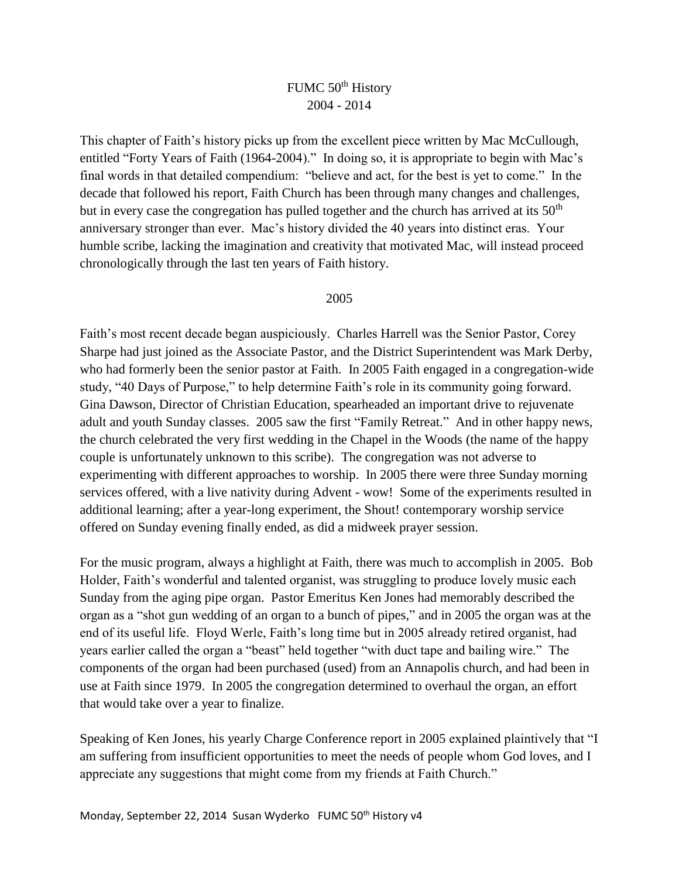# FUMC 50<sup>th</sup> History 2004 - 2014

This chapter of Faith's history picks up from the excellent piece written by Mac McCullough, entitled "Forty Years of Faith (1964-2004)." In doing so, it is appropriate to begin with Mac's final words in that detailed compendium: "believe and act, for the best is yet to come." In the decade that followed his report, Faith Church has been through many changes and challenges, but in every case the congregation has pulled together and the church has arrived at its  $50<sup>th</sup>$ anniversary stronger than ever. Mac's history divided the 40 years into distinct eras. Your humble scribe, lacking the imagination and creativity that motivated Mac, will instead proceed chronologically through the last ten years of Faith history.

# 2005

Faith's most recent decade began auspiciously. Charles Harrell was the Senior Pastor, Corey Sharpe had just joined as the Associate Pastor, and the District Superintendent was Mark Derby, who had formerly been the senior pastor at Faith. In 2005 Faith engaged in a congregation-wide study, "40 Days of Purpose," to help determine Faith's role in its community going forward. Gina Dawson, Director of Christian Education, spearheaded an important drive to rejuvenate adult and youth Sunday classes. 2005 saw the first "Family Retreat." And in other happy news, the church celebrated the very first wedding in the Chapel in the Woods (the name of the happy couple is unfortunately unknown to this scribe). The congregation was not adverse to experimenting with different approaches to worship. In 2005 there were three Sunday morning services offered, with a live nativity during Advent - wow! Some of the experiments resulted in additional learning; after a year-long experiment, the Shout! contemporary worship service offered on Sunday evening finally ended, as did a midweek prayer session.

For the music program, always a highlight at Faith, there was much to accomplish in 2005. Bob Holder, Faith's wonderful and talented organist, was struggling to produce lovely music each Sunday from the aging pipe organ. Pastor Emeritus Ken Jones had memorably described the organ as a "shot gun wedding of an organ to a bunch of pipes," and in 2005 the organ was at the end of its useful life. Floyd Werle, Faith's long time but in 2005 already retired organist, had years earlier called the organ a "beast" held together "with duct tape and bailing wire." The components of the organ had been purchased (used) from an Annapolis church, and had been in use at Faith since 1979. In 2005 the congregation determined to overhaul the organ, an effort that would take over a year to finalize.

Speaking of Ken Jones, his yearly Charge Conference report in 2005 explained plaintively that "I am suffering from insufficient opportunities to meet the needs of people whom God loves, and I appreciate any suggestions that might come from my friends at Faith Church."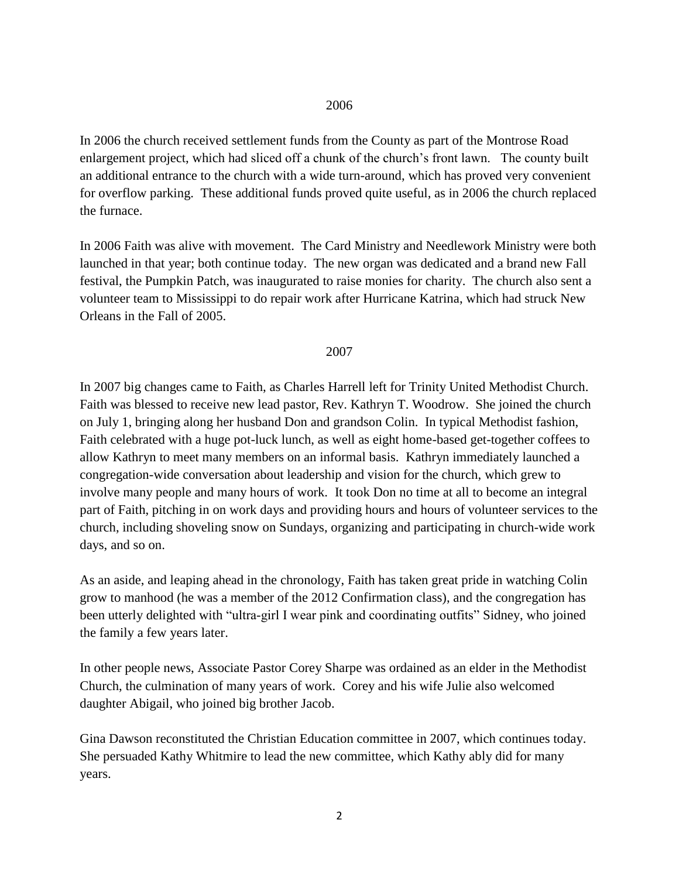In 2006 the church received settlement funds from the County as part of the Montrose Road enlargement project, which had sliced off a chunk of the church's front lawn. The county built an additional entrance to the church with a wide turn-around, which has proved very convenient for overflow parking. These additional funds proved quite useful, as in 2006 the church replaced the furnace.

In 2006 Faith was alive with movement. The Card Ministry and Needlework Ministry were both launched in that year; both continue today. The new organ was dedicated and a brand new Fall festival, the Pumpkin Patch, was inaugurated to raise monies for charity. The church also sent a volunteer team to Mississippi to do repair work after Hurricane Katrina, which had struck New Orleans in the Fall of 2005.

#### 2007

In 2007 big changes came to Faith, as Charles Harrell left for Trinity United Methodist Church. Faith was blessed to receive new lead pastor, Rev. Kathryn T. Woodrow. She joined the church on July 1, bringing along her husband Don and grandson Colin. In typical Methodist fashion, Faith celebrated with a huge pot-luck lunch, as well as eight home-based get-together coffees to allow Kathryn to meet many members on an informal basis. Kathryn immediately launched a congregation-wide conversation about leadership and vision for the church, which grew to involve many people and many hours of work. It took Don no time at all to become an integral part of Faith, pitching in on work days and providing hours and hours of volunteer services to the church, including shoveling snow on Sundays, organizing and participating in church-wide work days, and so on.

As an aside, and leaping ahead in the chronology, Faith has taken great pride in watching Colin grow to manhood (he was a member of the 2012 Confirmation class), and the congregation has been utterly delighted with "ultra-girl I wear pink and coordinating outfits" Sidney, who joined the family a few years later.

In other people news, Associate Pastor Corey Sharpe was ordained as an elder in the Methodist Church, the culmination of many years of work. Corey and his wife Julie also welcomed daughter Abigail, who joined big brother Jacob.

Gina Dawson reconstituted the Christian Education committee in 2007, which continues today. She persuaded Kathy Whitmire to lead the new committee, which Kathy ably did for many years.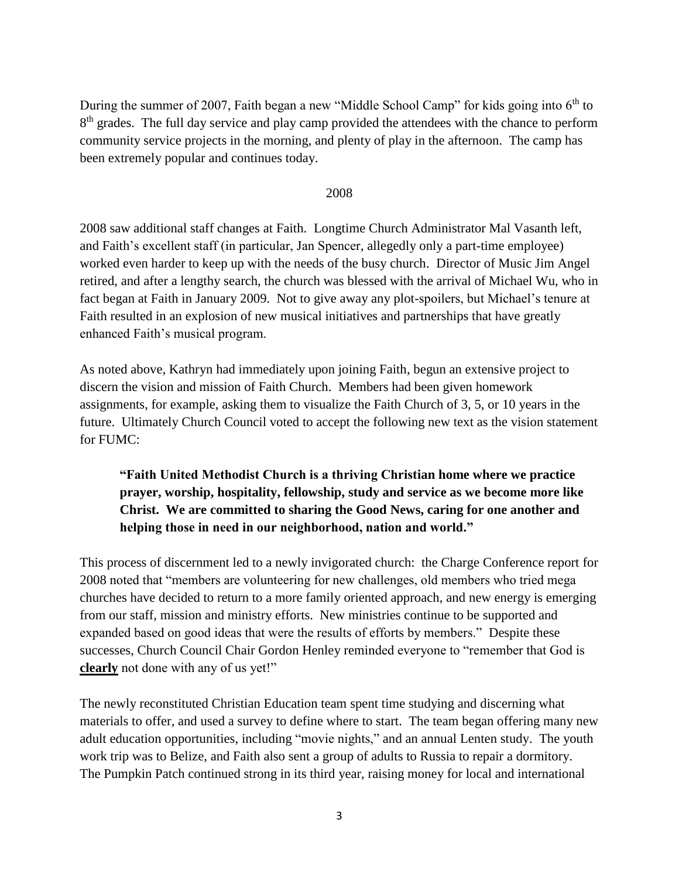During the summer of 2007, Faith began a new "Middle School Camp" for kids going into 6<sup>th</sup> to 8<sup>th</sup> grades. The full day service and play camp provided the attendees with the chance to perform community service projects in the morning, and plenty of play in the afternoon. The camp has been extremely popular and continues today.

## 2008

2008 saw additional staff changes at Faith. Longtime Church Administrator Mal Vasanth left, and Faith's excellent staff (in particular, Jan Spencer, allegedly only a part-time employee) worked even harder to keep up with the needs of the busy church. Director of Music Jim Angel retired, and after a lengthy search, the church was blessed with the arrival of Michael Wu, who in fact began at Faith in January 2009. Not to give away any plot-spoilers, but Michael's tenure at Faith resulted in an explosion of new musical initiatives and partnerships that have greatly enhanced Faith's musical program.

As noted above, Kathryn had immediately upon joining Faith, begun an extensive project to discern the vision and mission of Faith Church. Members had been given homework assignments, for example, asking them to visualize the Faith Church of 3, 5, or 10 years in the future. Ultimately Church Council voted to accept the following new text as the vision statement for FUMC:

# **"Faith United Methodist Church is a thriving Christian home where we practice prayer, worship, hospitality, fellowship, study and service as we become more like Christ. We are committed to sharing the Good News, caring for one another and helping those in need in our neighborhood, nation and world."**

This process of discernment led to a newly invigorated church: the Charge Conference report for 2008 noted that "members are volunteering for new challenges, old members who tried mega churches have decided to return to a more family oriented approach, and new energy is emerging from our staff, mission and ministry efforts. New ministries continue to be supported and expanded based on good ideas that were the results of efforts by members." Despite these successes, Church Council Chair Gordon Henley reminded everyone to "remember that God is **clearly** not done with any of us yet!"

The newly reconstituted Christian Education team spent time studying and discerning what materials to offer, and used a survey to define where to start. The team began offering many new adult education opportunities, including "movie nights," and an annual Lenten study. The youth work trip was to Belize, and Faith also sent a group of adults to Russia to repair a dormitory. The Pumpkin Patch continued strong in its third year, raising money for local and international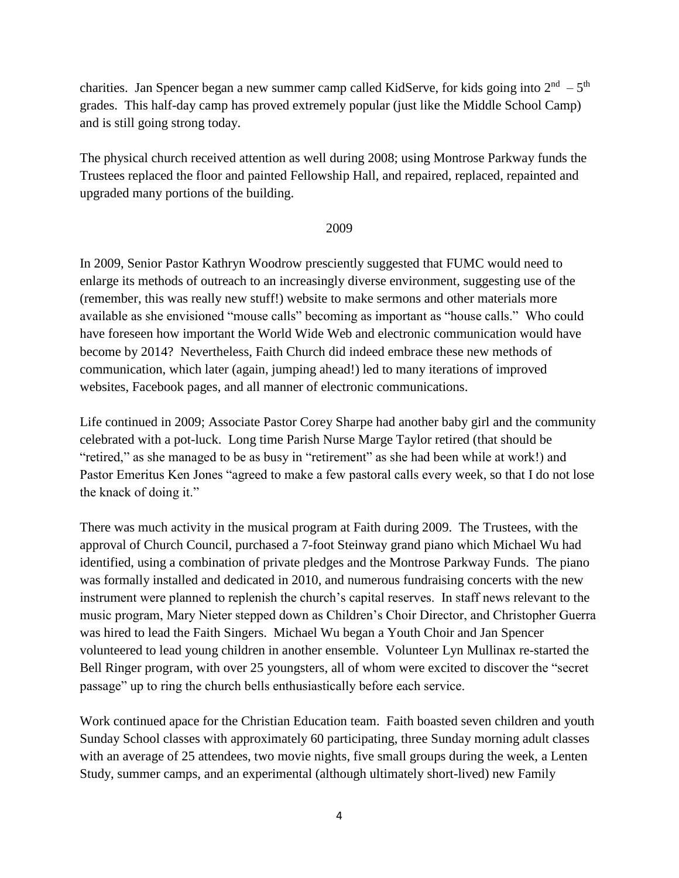charities. Jan Spencer began a new summer camp called KidServe, for kids going into  $2<sup>nd</sup> - 5<sup>th</sup>$ grades. This half-day camp has proved extremely popular (just like the Middle School Camp) and is still going strong today.

The physical church received attention as well during 2008; using Montrose Parkway funds the Trustees replaced the floor and painted Fellowship Hall, and repaired, replaced, repainted and upgraded many portions of the building.

### 2009

In 2009, Senior Pastor Kathryn Woodrow presciently suggested that FUMC would need to enlarge its methods of outreach to an increasingly diverse environment, suggesting use of the (remember, this was really new stuff!) website to make sermons and other materials more available as she envisioned "mouse calls" becoming as important as "house calls." Who could have foreseen how important the World Wide Web and electronic communication would have become by 2014? Nevertheless, Faith Church did indeed embrace these new methods of communication, which later (again, jumping ahead!) led to many iterations of improved websites, Facebook pages, and all manner of electronic communications.

Life continued in 2009; Associate Pastor Corey Sharpe had another baby girl and the community celebrated with a pot-luck. Long time Parish Nurse Marge Taylor retired (that should be "retired," as she managed to be as busy in "retirement" as she had been while at work!) and Pastor Emeritus Ken Jones "agreed to make a few pastoral calls every week, so that I do not lose the knack of doing it."

There was much activity in the musical program at Faith during 2009. The Trustees, with the approval of Church Council, purchased a 7-foot Steinway grand piano which Michael Wu had identified, using a combination of private pledges and the Montrose Parkway Funds. The piano was formally installed and dedicated in 2010, and numerous fundraising concerts with the new instrument were planned to replenish the church's capital reserves. In staff news relevant to the music program, Mary Nieter stepped down as Children's Choir Director, and Christopher Guerra was hired to lead the Faith Singers. Michael Wu began a Youth Choir and Jan Spencer volunteered to lead young children in another ensemble. Volunteer Lyn Mullinax re-started the Bell Ringer program, with over 25 youngsters, all of whom were excited to discover the "secret passage" up to ring the church bells enthusiastically before each service.

Work continued apace for the Christian Education team. Faith boasted seven children and youth Sunday School classes with approximately 60 participating, three Sunday morning adult classes with an average of 25 attendees, two movie nights, five small groups during the week, a Lenten Study, summer camps, and an experimental (although ultimately short-lived) new Family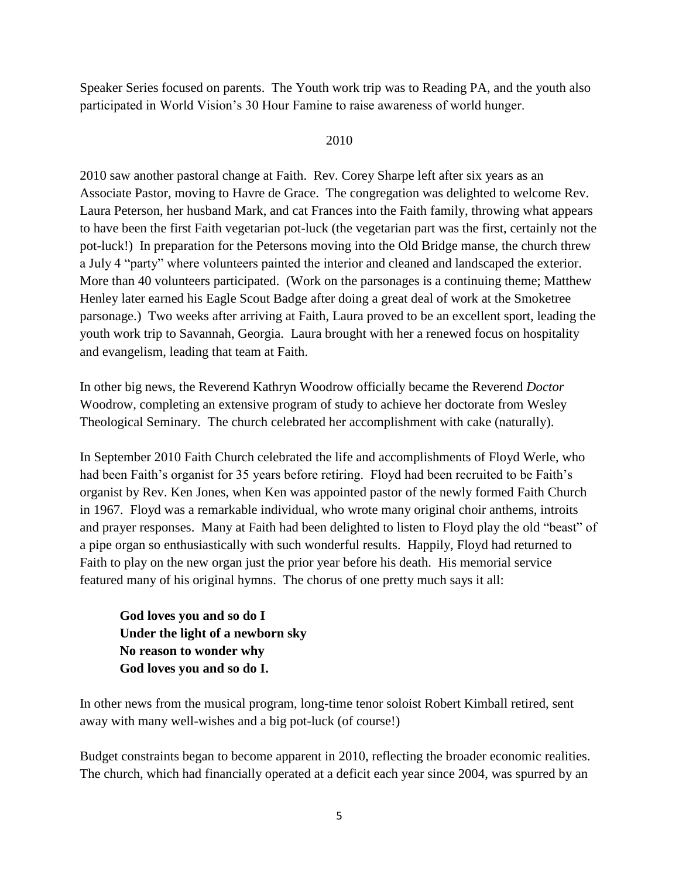Speaker Series focused on parents. The Youth work trip was to Reading PA, and the youth also participated in World Vision's 30 Hour Famine to raise awareness of world hunger.

## 2010

2010 saw another pastoral change at Faith. Rev. Corey Sharpe left after six years as an Associate Pastor, moving to Havre de Grace. The congregation was delighted to welcome Rev. Laura Peterson, her husband Mark, and cat Frances into the Faith family, throwing what appears to have been the first Faith vegetarian pot-luck (the vegetarian part was the first, certainly not the pot-luck!) In preparation for the Petersons moving into the Old Bridge manse, the church threw a July 4 "party" where volunteers painted the interior and cleaned and landscaped the exterior. More than 40 volunteers participated. (Work on the parsonages is a continuing theme; Matthew Henley later earned his Eagle Scout Badge after doing a great deal of work at the Smoketree parsonage.) Two weeks after arriving at Faith, Laura proved to be an excellent sport, leading the youth work trip to Savannah, Georgia. Laura brought with her a renewed focus on hospitality and evangelism, leading that team at Faith.

In other big news, the Reverend Kathryn Woodrow officially became the Reverend *Doctor*  Woodrow, completing an extensive program of study to achieve her doctorate from Wesley Theological Seminary. The church celebrated her accomplishment with cake (naturally).

In September 2010 Faith Church celebrated the life and accomplishments of Floyd Werle, who had been Faith's organist for 35 years before retiring. Floyd had been recruited to be Faith's organist by Rev. Ken Jones, when Ken was appointed pastor of the newly formed Faith Church in 1967. Floyd was a remarkable individual, who wrote many original choir anthems, introits and prayer responses. Many at Faith had been delighted to listen to Floyd play the old "beast" of a pipe organ so enthusiastically with such wonderful results. Happily, Floyd had returned to Faith to play on the new organ just the prior year before his death. His memorial service featured many of his original hymns. The chorus of one pretty much says it all:

**God loves you and so do I Under the light of a newborn sky No reason to wonder why God loves you and so do I.**

In other news from the musical program, long-time tenor soloist Robert Kimball retired, sent away with many well-wishes and a big pot-luck (of course!)

Budget constraints began to become apparent in 2010, reflecting the broader economic realities. The church, which had financially operated at a deficit each year since 2004, was spurred by an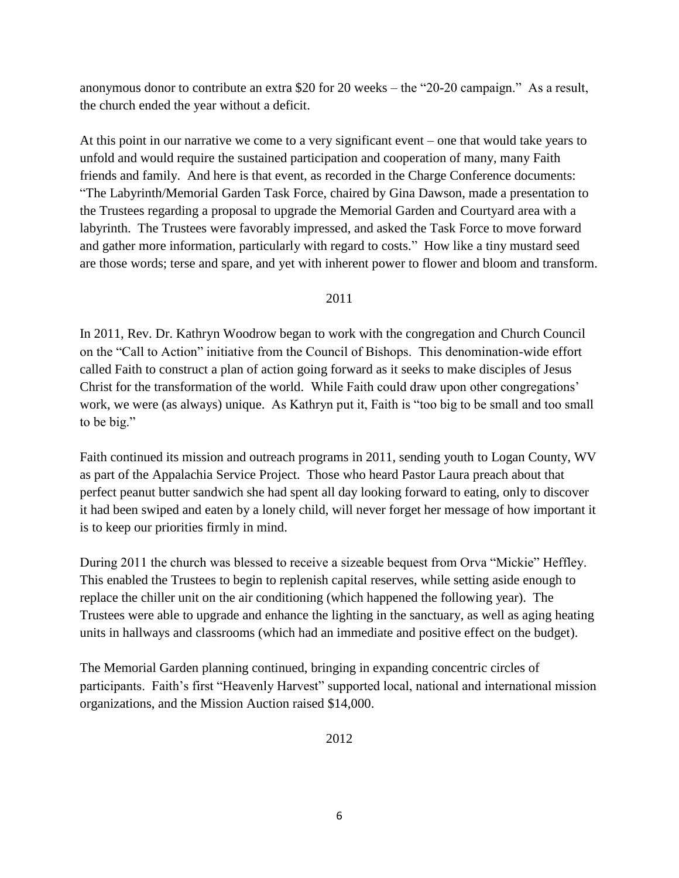anonymous donor to contribute an extra \$20 for 20 weeks – the "20-20 campaign." As a result, the church ended the year without a deficit.

At this point in our narrative we come to a very significant event – one that would take years to unfold and would require the sustained participation and cooperation of many, many Faith friends and family. And here is that event, as recorded in the Charge Conference documents: "The Labyrinth/Memorial Garden Task Force, chaired by Gina Dawson, made a presentation to the Trustees regarding a proposal to upgrade the Memorial Garden and Courtyard area with a labyrinth. The Trustees were favorably impressed, and asked the Task Force to move forward and gather more information, particularly with regard to costs." How like a tiny mustard seed are those words; terse and spare, and yet with inherent power to flower and bloom and transform.

### 2011

In 2011, Rev. Dr. Kathryn Woodrow began to work with the congregation and Church Council on the "Call to Action" initiative from the Council of Bishops. This denomination-wide effort called Faith to construct a plan of action going forward as it seeks to make disciples of Jesus Christ for the transformation of the world. While Faith could draw upon other congregations' work, we were (as always) unique. As Kathryn put it, Faith is "too big to be small and too small to be big."

Faith continued its mission and outreach programs in 2011, sending youth to Logan County, WV as part of the Appalachia Service Project. Those who heard Pastor Laura preach about that perfect peanut butter sandwich she had spent all day looking forward to eating, only to discover it had been swiped and eaten by a lonely child, will never forget her message of how important it is to keep our priorities firmly in mind.

During 2011 the church was blessed to receive a sizeable bequest from Orva "Mickie" Heffley. This enabled the Trustees to begin to replenish capital reserves, while setting aside enough to replace the chiller unit on the air conditioning (which happened the following year). The Trustees were able to upgrade and enhance the lighting in the sanctuary, as well as aging heating units in hallways and classrooms (which had an immediate and positive effect on the budget).

The Memorial Garden planning continued, bringing in expanding concentric circles of participants. Faith's first "Heavenly Harvest" supported local, national and international mission organizations, and the Mission Auction raised \$14,000.

2012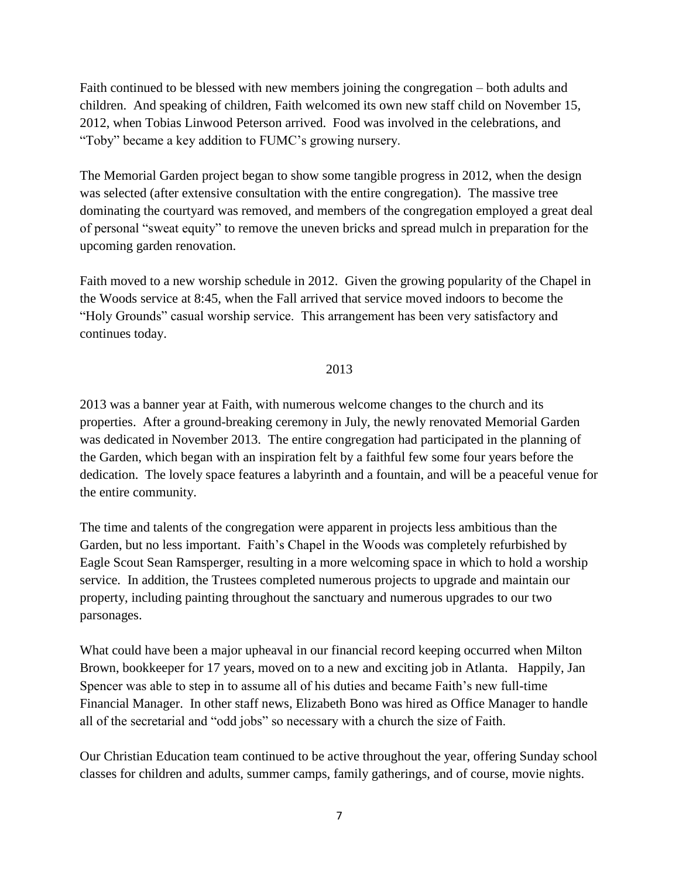Faith continued to be blessed with new members joining the congregation – both adults and children. And speaking of children, Faith welcomed its own new staff child on November 15, 2012, when Tobias Linwood Peterson arrived. Food was involved in the celebrations, and "Toby" became a key addition to FUMC's growing nursery.

The Memorial Garden project began to show some tangible progress in 2012, when the design was selected (after extensive consultation with the entire congregation). The massive tree dominating the courtyard was removed, and members of the congregation employed a great deal of personal "sweat equity" to remove the uneven bricks and spread mulch in preparation for the upcoming garden renovation.

Faith moved to a new worship schedule in 2012. Given the growing popularity of the Chapel in the Woods service at 8:45, when the Fall arrived that service moved indoors to become the "Holy Grounds" casual worship service. This arrangement has been very satisfactory and continues today.

2013

2013 was a banner year at Faith, with numerous welcome changes to the church and its properties. After a ground-breaking ceremony in July, the newly renovated Memorial Garden was dedicated in November 2013. The entire congregation had participated in the planning of the Garden, which began with an inspiration felt by a faithful few some four years before the dedication. The lovely space features a labyrinth and a fountain, and will be a peaceful venue for the entire community.

The time and talents of the congregation were apparent in projects less ambitious than the Garden, but no less important. Faith's Chapel in the Woods was completely refurbished by Eagle Scout Sean Ramsperger, resulting in a more welcoming space in which to hold a worship service. In addition, the Trustees completed numerous projects to upgrade and maintain our property, including painting throughout the sanctuary and numerous upgrades to our two parsonages.

What could have been a major upheaval in our financial record keeping occurred when Milton Brown, bookkeeper for 17 years, moved on to a new and exciting job in Atlanta. Happily, Jan Spencer was able to step in to assume all of his duties and became Faith's new full-time Financial Manager. In other staff news, Elizabeth Bono was hired as Office Manager to handle all of the secretarial and "odd jobs" so necessary with a church the size of Faith.

Our Christian Education team continued to be active throughout the year, offering Sunday school classes for children and adults, summer camps, family gatherings, and of course, movie nights.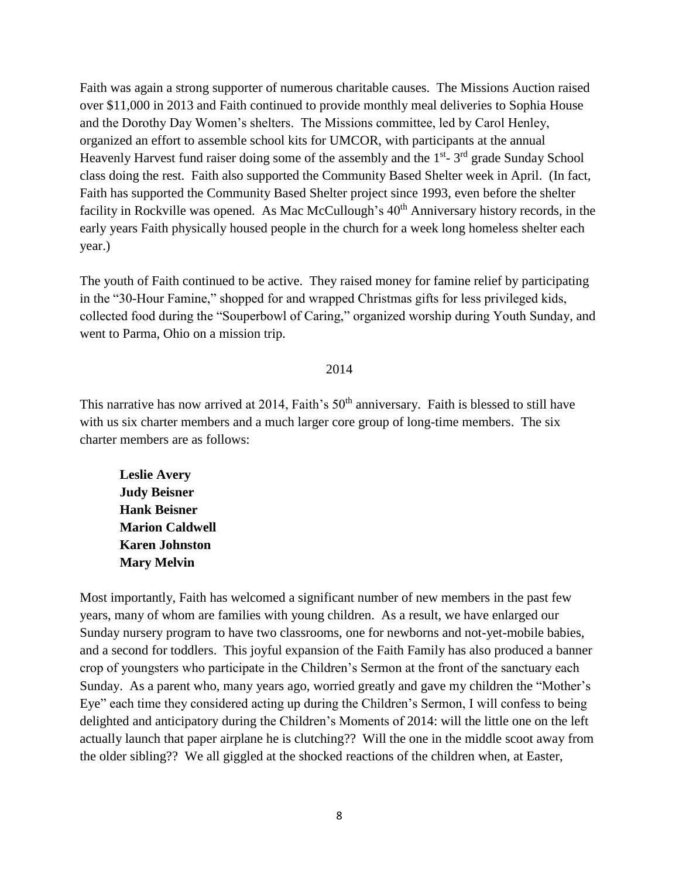Faith was again a strong supporter of numerous charitable causes. The Missions Auction raised over \$11,000 in 2013 and Faith continued to provide monthly meal deliveries to Sophia House and the Dorothy Day Women's shelters. The Missions committee, led by Carol Henley, organized an effort to assemble school kits for UMCOR, with participants at the annual Heavenly Harvest fund raiser doing some of the assembly and the 1<sup>st</sup>-3<sup>rd</sup> grade Sunday School class doing the rest. Faith also supported the Community Based Shelter week in April. (In fact, Faith has supported the Community Based Shelter project since 1993, even before the shelter facility in Rockville was opened. As Mac McCullough's 40<sup>th</sup> Anniversary history records, in the early years Faith physically housed people in the church for a week long homeless shelter each year.)

The youth of Faith continued to be active. They raised money for famine relief by participating in the "30-Hour Famine," shopped for and wrapped Christmas gifts for less privileged kids, collected food during the "Souperbowl of Caring," organized worship during Youth Sunday, and went to Parma, Ohio on a mission trip.

#### 2014

This narrative has now arrived at 2014, Faith's 50<sup>th</sup> anniversary. Faith is blessed to still have with us six charter members and a much larger core group of long-time members. The six charter members are as follows:

**Leslie Avery Judy Beisner Hank Beisner Marion Caldwell Karen Johnston Mary Melvin**

Most importantly, Faith has welcomed a significant number of new members in the past few years, many of whom are families with young children. As a result, we have enlarged our Sunday nursery program to have two classrooms, one for newborns and not-yet-mobile babies, and a second for toddlers. This joyful expansion of the Faith Family has also produced a banner crop of youngsters who participate in the Children's Sermon at the front of the sanctuary each Sunday. As a parent who, many years ago, worried greatly and gave my children the "Mother's Eye" each time they considered acting up during the Children's Sermon, I will confess to being delighted and anticipatory during the Children's Moments of 2014: will the little one on the left actually launch that paper airplane he is clutching?? Will the one in the middle scoot away from the older sibling?? We all giggled at the shocked reactions of the children when, at Easter,